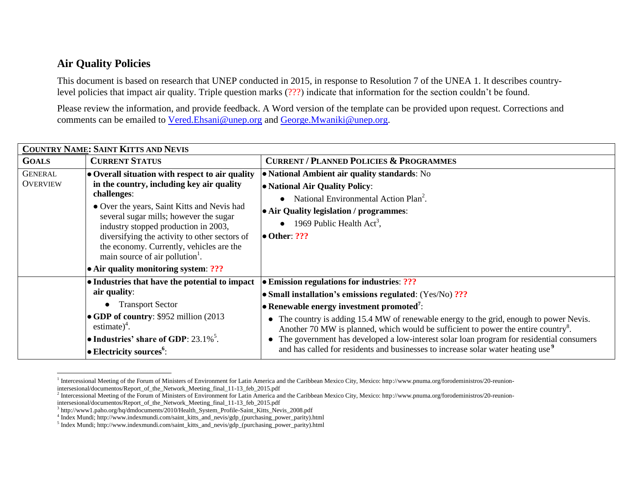## **Air Quality Policies**

 $\overline{\phantom{a}}$ 

This document is based on research that UNEP conducted in 2015, in response to Resolution 7 of the UNEA 1. It describes countrylevel policies that impact air quality. Triple question marks (???) indicate that information for the section couldn't be found.

Please review the information, and provide feedback. A Word version of the template can be provided upon request. Corrections and comments can be emailed to [Vered.Ehsani@unep.org](mailto:Vered.Ehsani@unep.org) and [George.Mwaniki@unep.org.](mailto:George.Mwaniki@unep.org)

| <b>COUNTRY NAME: SAINT KITTS AND NEVIS</b> |                                                                                                                                                                                                                                                                                                                                                                                                                                  |                                                                                                                                                                                                                                                                                                                                                                                                                                                                                                                                                                 |  |
|--------------------------------------------|----------------------------------------------------------------------------------------------------------------------------------------------------------------------------------------------------------------------------------------------------------------------------------------------------------------------------------------------------------------------------------------------------------------------------------|-----------------------------------------------------------------------------------------------------------------------------------------------------------------------------------------------------------------------------------------------------------------------------------------------------------------------------------------------------------------------------------------------------------------------------------------------------------------------------------------------------------------------------------------------------------------|--|
| <b>GOALS</b>                               | <b>CURRENT STATUS</b>                                                                                                                                                                                                                                                                                                                                                                                                            | <b>CURRENT / PLANNED POLICIES &amp; PROGRAMMES</b>                                                                                                                                                                                                                                                                                                                                                                                                                                                                                                              |  |
| <b>GENERAL</b><br><b>OVERVIEW</b>          | • Overall situation with respect to air quality<br>in the country, including key air quality<br>challenges:<br>• Over the years, Saint Kitts and Nevis had<br>several sugar mills; however the sugar<br>industry stopped production in 2003,<br>diversifying the activity to other sectors of<br>the economy. Currently, vehicles are the<br>main source of air pollution <sup>1</sup> .<br>• Air quality monitoring system: ??? | • National Ambient air quality standards: No<br>• National Air Quality Policy:<br>National Environmental Action Plan <sup>2</sup> .<br>• Air Quality legislation / programmes:<br>1969 Public Health Act <sup>3</sup> ,<br>$\bullet$ Other: ???                                                                                                                                                                                                                                                                                                                 |  |
|                                            | • Industries that have the potential to impact<br>air quality:<br>• Transport Sector<br>• GDP of country: \$952 million (2013)<br>estimate) $4$ .<br>• Industries' share of GDP: $23.1\%$ <sup>5</sup> .<br>• Electricity sources <sup>6</sup> :                                                                                                                                                                                 | <b>Emission regulations for industries: ???</b><br>• Small installation's emissions regulated: $(Yes/No)$ ???<br>• Renewable energy investment promoted <sup>7</sup> :<br>• The country is adding 15.4 MW of renewable energy to the grid, enough to power Nevis.<br>Another 70 MW is planned, which would be sufficient to power the entire country <sup>8</sup> .<br>The government has developed a low-interest solar loan program for residential consumers<br>and has called for residents and businesses to increase solar water heating use <sup>9</sup> |  |

<sup>&</sup>lt;sup>1</sup> Intercessional Meeting of the Forum of Ministers of Environment for Latin America and the Caribbean Mexico City, Mexico: http://www.pnuma.org/forodeministros/20-reunionintersesional/documentos/Report\_of\_the\_Network\_Meeting\_final\_11-13\_feb\_2015.pdf

<sup>&</sup>lt;sup>2</sup> Intercessional Meeting of the Forum of Ministers of Environment for Latin America and the Caribbean Mexico City, Mexico: http://www.pnuma.org/forodeministros/20-reunion-

intersesional/documentos/Report\_of\_the\_Network\_Meeting\_final\_11-13\_feb\_2015.pdf

<sup>&</sup>lt;sup>3</sup> http://www1.paho.org/hq/dmdocuments/2010/Health\_System\_Profile-Saint\_Kitts\_Nevis\_2008.pdf

<sup>4</sup> Index Mundi; http://www.indexmundi.com/saint\_kitts\_and\_nevis/gdp\_(purchasing\_power\_parity).html

<sup>&</sup>lt;sup>5</sup> Index Mundi; http://www.indexmundi.com/saint\_kitts\_and\_nevis/gdp\_(purchasing\_power\_parity).html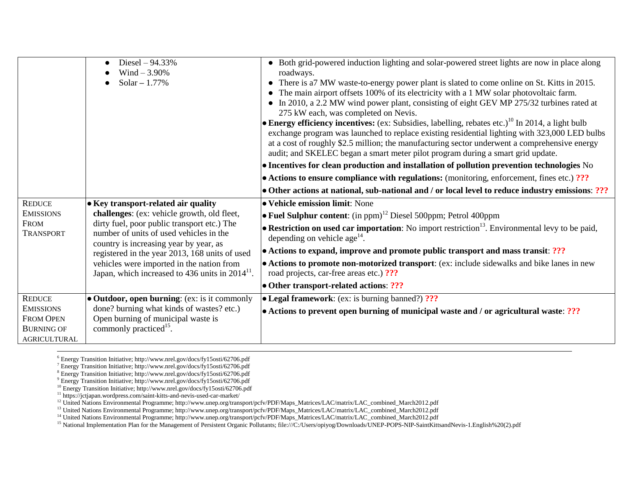|                                                                                            | Diesel $-94.33%$<br>Wind $-3.90%$<br>Solar $-1.77%$                                                                                                                                                                                                                                                                                                                                  | • Both grid-powered induction lighting and solar-powered street lights are now in place along<br>roadways.<br>There is a 7 MW waste-to-energy power plant is slated to come online on St. Kitts in 2015.<br>The main airport offsets 100% of its electricity with a 1 MW solar photovoltaic farm.<br>• In 2010, a 2.2 MW wind power plant, consisting of eight GEV MP 275/32 turbines rated at<br>275 kW each, was completed on Nevis.<br><b>Energy efficiency incentives:</b> (ex: Subsidies, labelling, rebates etc.) <sup>10</sup> In 2014, a light bulb<br>exchange program was launched to replace existing residential lighting with 323,000 LED bulbs<br>at a cost of roughly \$2.5 million; the manufacturing sector underwent a comprehensive energy<br>audit; and SKELEC began a smart meter pilot program during a smart grid update.<br>• Incentives for clean production and installation of pollution prevention technologies No<br>$\bullet$ Actions to ensure compliance with regulations: (monitoring, enforcement, fines etc.) ???<br>• Other actions at national, sub-national and / or local level to reduce industry emissions: ??? |
|--------------------------------------------------------------------------------------------|--------------------------------------------------------------------------------------------------------------------------------------------------------------------------------------------------------------------------------------------------------------------------------------------------------------------------------------------------------------------------------------|----------------------------------------------------------------------------------------------------------------------------------------------------------------------------------------------------------------------------------------------------------------------------------------------------------------------------------------------------------------------------------------------------------------------------------------------------------------------------------------------------------------------------------------------------------------------------------------------------------------------------------------------------------------------------------------------------------------------------------------------------------------------------------------------------------------------------------------------------------------------------------------------------------------------------------------------------------------------------------------------------------------------------------------------------------------------------------------------------------------------------------------------------------|
| <b>REDUCE</b><br><b>EMISSIONS</b><br><b>FROM</b><br><b>TRANSPORT</b>                       | • Key transport-related air quality<br>challenges: (ex: vehicle growth, old fleet,<br>dirty fuel, poor public transport etc.) The<br>number of units of used vehicles in the<br>country is increasing year by year, as<br>registered in the year 2013, 168 units of used<br>vehicles were imported in the nation from<br>Japan, which increased to 436 units in 2014 <sup>11</sup> . | • Vehicle emission limit: None<br>• Fuel Sulphur content: $(in ppm)^{12}$ Diesel 500ppm; Petrol 400ppm<br><b>• Restriction on used car importation</b> : No import restriction <sup>13</sup> . Environmental levy to be paid,<br>depending on vehicle age <sup>14</sup> .<br>• Actions to expand, improve and promote public transport and mass transit: ???<br>• Actions to promote non-motorized transport: (ex: include sidewalks and bike lanes in new<br>road projects, car-free areas etc.) ???<br>• Other transport-related actions: ???                                                                                                                                                                                                                                                                                                                                                                                                                                                                                                                                                                                                          |
| <b>REDUCE</b><br><b>EMISSIONS</b><br><b>FROM OPEN</b><br><b>BURNING OF</b><br>AGRICULTURAL | • Outdoor, open burning: (ex: is it commonly<br>done? burning what kinds of wastes? etc.)<br>Open burning of municipal waste is<br>commonly practiced <sup>15</sup> .                                                                                                                                                                                                                | • Legal framework: (ex: is burning banned?) ???<br>• Actions to prevent open burning of municipal waste and / or agricultural waste: ???                                                                                                                                                                                                                                                                                                                                                                                                                                                                                                                                                                                                                                                                                                                                                                                                                                                                                                                                                                                                                 |

 $\overline{a}$ 

<sup>6</sup> Energy Transition Initiative; http://www.nrel.gov/docs/fy15osti/62706.pdf

<sup>&</sup>lt;sup>7</sup> Energy Transition Initiative; http://www.nrel.gov/docs/fy15osti/62706.pdf

<sup>8</sup> Energy Transition Initiative; http://www.nrel.gov/docs/fy15osti/62706.pdf

<sup>9</sup> Energy Transition Initiative; http://www.nrel.gov/docs/fy15osti/62706.pdf

<sup>&</sup>lt;sup>10</sup> Energy Transition Initiative; http://www.nrel.gov/docs/fy15osti/62706.pdf

<sup>11</sup> https://jctjapan.wordpress.com/saint-kitts-and-nevis-used-car-market/

<sup>&</sup>lt;sup>12</sup> United Nations Environmental Programme; http://www.unep.org/transport/pcfv/PDF/Maps\_Matrices/LAC/matrix/LAC\_combined\_March2012.pdf

<sup>13</sup> United Nations Environmental Programme; http://www.unep.org/transport/pcfv/PDF/Maps\_Matrices/LAC/matrix/LAC\_combined\_March2012.pdf

<sup>14</sup> United Nations Environmental Programme; http://www.unep.org/transport/pcfv/PDF/Maps\_Matrices/LAC/matrix/LAC\_combined\_March2012.pdf

<sup>15</sup> National Implementation Plan for the Management of Persistent Organic Pollutants; file:///C:/Users/opiyog/Downloads/UNEP-POPS-NIP-SaintKittsandNevis-1.English%20(2).pdf